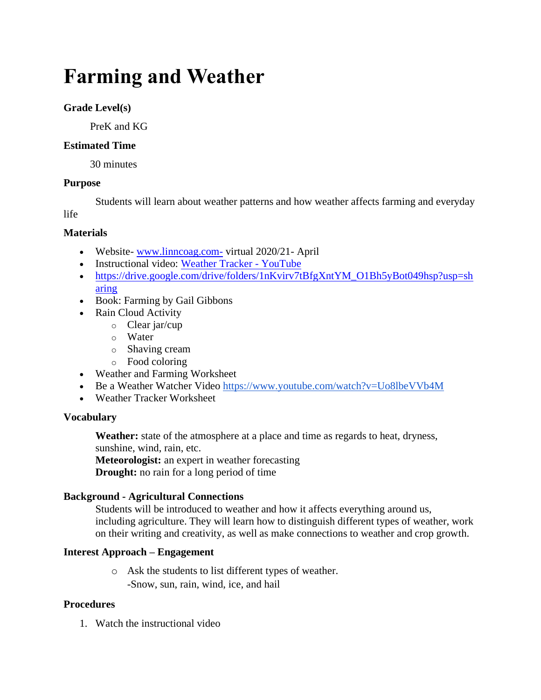# **Farming and Weather**

## **Grade Level(s)**

PreK and KG

## **Estimated Time**

30 minutes

## **Purpose**

Students will learn about weather patterns and how weather affects farming and everyday

life

## **Materials**

- Website-[www.linncoag.com-](http://www.linncoag.com-/) virtual 2020/21- April
- Instructional video: [Weather Tracker -](https://www.youtube.com/watch?v=jtlnoMJf3PM) YouTube
- [https://drive.google.com/drive/folders/1nKvirv7tBfgXntYM\\_O1Bh5yBot049hsp?usp=sh](https://drive.google.com/drive/folders/1nKvirv7tBfgXntYM_O1Bh5yBot049hsp?usp=sharing) [aring](https://drive.google.com/drive/folders/1nKvirv7tBfgXntYM_O1Bh5yBot049hsp?usp=sharing)
- Book: Farming by Gail Gibbons
- Rain Cloud Activity
	- o Clear jar/cup
	- o Water
	- o Shaving cream
	- o Food coloring
- Weather and Farming Worksheet
- Be a Weather Watcher Video <https://www.youtube.com/watch?v=Uo8lbeVVb4M>
- Weather Tracker Worksheet

## **Vocabulary**

**Weather:** state of the atmosphere at a place and time as regards to heat, dryness, sunshine, wind, rain, etc.

**Meteorologist:** an expert in weather forecasting

**Drought:** no rain for a long period of time

## **Background - Agricultural Connections**

Students will be introduced to weather and how it affects everything around us, including agriculture. They will learn how to distinguish different types of weather, work on their writing and creativity, as well as make connections to weather and crop growth.

## **Interest Approach – Engagement**

o Ask the students to list different types of weather. -Snow, sun, rain, wind, ice, and hail

## **Procedures**

1. Watch the instructional video